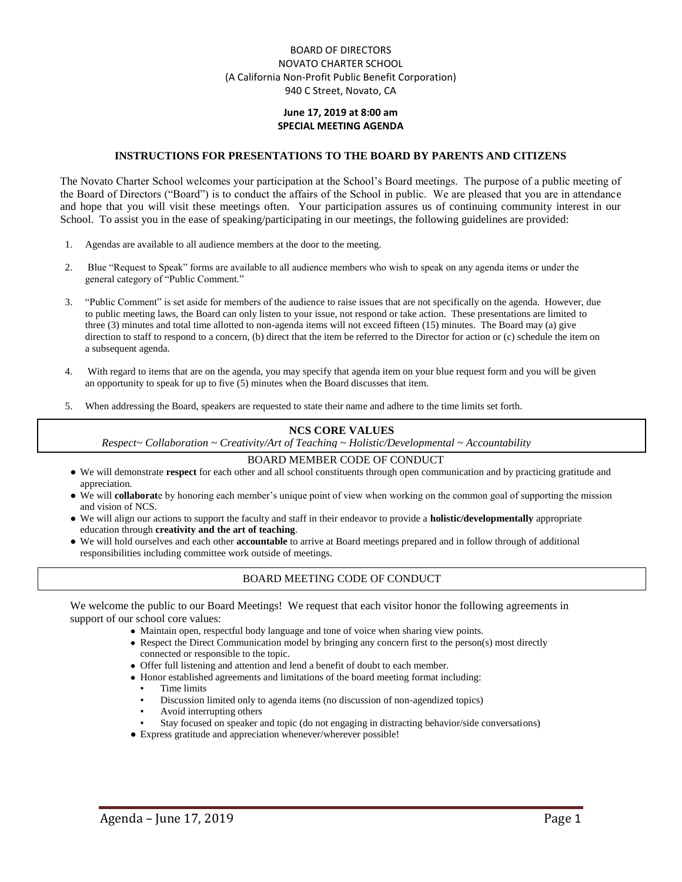## BOARD OF DIRECTORS NOVATO CHARTER SCHOOL (A California Non-Profit Public Benefit Corporation) 940 C Street, Novato, CA

## **June 17, 2019 at 8:00 am SPECIAL MEETING AGENDA**

### **INSTRUCTIONS FOR PRESENTATIONS TO THE BOARD BY PARENTS AND CITIZENS**

The Novato Charter School welcomes your participation at the School's Board meetings. The purpose of a public meeting of the Board of Directors ("Board") is to conduct the affairs of the School in public. We are pleased that you are in attendance and hope that you will visit these meetings often. Your participation assures us of continuing community interest in our School. To assist you in the ease of speaking/participating in our meetings, the following guidelines are provided:

- 1. Agendas are available to all audience members at the door to the meeting.
- 2. Blue "Request to Speak" forms are available to all audience members who wish to speak on any agenda items or under the general category of "Public Comment."
- 3. "Public Comment" is set aside for members of the audience to raise issues that are not specifically on the agenda. However, due to public meeting laws, the Board can only listen to your issue, not respond or take action. These presentations are limited to three (3) minutes and total time allotted to non-agenda items will not exceed fifteen (15) minutes. The Board may (a) give direction to staff to respond to a concern, (b) direct that the item be referred to the Director for action or (c) schedule the item on a subsequent agenda.
- 4. With regard to items that are on the agenda, you may specify that agenda item on your blue request form and you will be given an opportunity to speak for up to five (5) minutes when the Board discusses that item.
- 5. When addressing the Board, speakers are requested to state their name and adhere to the time limits set forth.

#### **NCS CORE VALUES**

*Respect~ Collaboration ~ Creativity/Art of Teaching ~ Holistic/Developmental ~ Accountability*

#### BOARD MEMBER CODE OF CONDUCT

- We will demonstrate **respect** for each other and all school constituents through open communication and by practicing gratitude and appreciation.
- We will **collaborat**e by honoring each member's unique point of view when working on the common goal of supporting the mission and vision of NCS.
- We will align our actions to support the faculty and staff in their endeavor to provide a **holistic/developmentally** appropriate education through **creativity and the art of teaching**.
- We will hold ourselves and each other **accountable** to arrive at Board meetings prepared and in follow through of additional responsibilities including committee work outside of meetings.

## BOARD MEETING CODE OF CONDUCT

We welcome the public to our Board Meetings! We request that each visitor honor the following agreements in support of our school core values:

- Maintain open, respectful body language and tone of voice when sharing view points.
- Respect the Direct Communication model by bringing any concern first to the person(s) most directly connected or responsible to the topic.
- Offer full listening and attention and lend a benefit of doubt to each member.
- Honor established agreements and limitations of the board meeting format including:
	- Time limits
	- Discussion limited only to agenda items (no discussion of non-agendized topics)
	- Avoid interrupting others
	- Stay focused on speaker and topic (do not engaging in distracting behavior/side conversations)
- Express gratitude and appreciation whenever/wherever possible!